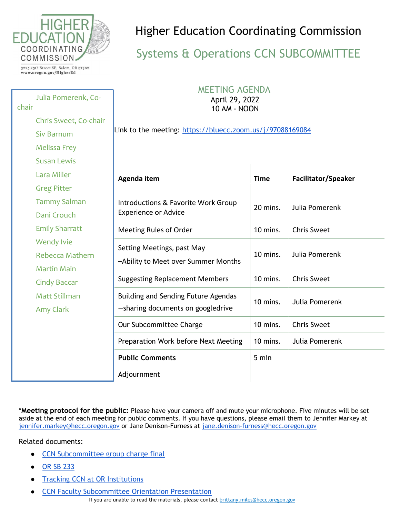

Chris Sweet, Co-chair

Julia Pomerenk, Co-

3225 25th Street SE, Salem, OR 97302 www.oregon.gov/HigherEd

Siv Barnum

Melissa Frey

chair

## Higher Education Coordinating Commission

## Systems & Operations CCN SUBCOMMITTEE

 MEETING AGENDA April 29, 2022 10 AM - NOON

Link to the meeting:<https://bluecc.zoom.us/j/97088169084>

| <b>Susan Lewis</b>    |                                                                          |             |                            |
|-----------------------|--------------------------------------------------------------------------|-------------|----------------------------|
| Lara Miller           | Agenda item                                                              | <b>Time</b> | <b>Facilitator/Speaker</b> |
| <b>Greg Pitter</b>    |                                                                          |             |                            |
| <b>Tammy Salman</b>   | Introductions & Favorite Work Group<br><b>Experience or Advice</b>       | 20 mins.    | Julia Pomerenk             |
| Dani Crouch           |                                                                          |             |                            |
| <b>Emily Sharratt</b> | Meeting Rules of Order                                                   | 10 mins.    | <b>Chris Sweet</b>         |
| <b>Wendy Ivie</b>     | Setting Meetings, past May<br>-Ability to Meet over Summer Months        | 10 mins.    | Julia Pomerenk             |
| Rebecca Mathern       |                                                                          |             |                            |
| Martin Main           |                                                                          |             |                            |
| <b>Cindy Baccar</b>   | <b>Suggesting Replacement Members</b>                                    | 10 mins.    | <b>Chris Sweet</b>         |
| <b>Matt Stillman</b>  | Building and Sending Future Agendas<br>-sharing documents on googledrive | 10 mins.    | Julia Pomerenk             |
| Amy Clark             |                                                                          |             |                            |
|                       | Our Subcommittee Charge                                                  | 10 mins.    | <b>Chris Sweet</b>         |
|                       | Preparation Work before Next Meeting                                     | $10$ mins.  | Julia Pomerenk             |
|                       | <b>Public Comments</b>                                                   | 5 min       |                            |
|                       | Adjournment                                                              |             |                            |

\***Meeting protocol for the public:** Please have your camera off and mute your microphone. Five minutes will be set aside at the end of each meeting for public comments. If you have questions, please email them to Jennifer Markey at [jennifer.markey@hecc.oregon.gov](mailto:jennifer.markey@hecc.oregon.gov) or Jane Denison-Furness at [jane.denison-furness@hecc.oregon.gov](mailto:jane.denison-furness@hecc.oregon.gov)

Related documents:

- [CCN Subcommittee group charge final](https://drive.google.com/open?id=1f4LA1ZneWtRMRRDDIkmIzRlFT5x6QXeo)
- [OR SB 233](https://drive.google.com/open?id=1G9vWvaQf4N0S7YeeqrFAo-K0AM7CWKWA)
- **[Tracking CCN at OR Institutions](https://docs.google.com/spreadsheets/u/0/d/1vZgHVxqJ779Dr808ziNcjIv-e68VrGnjNL8Sup6bpXU/edit)**
- **[CCN Faculty Subcommittee Orientation Presentation](https://docs.google.com/presentation/u/0/d/1tQI12MzdHh5TyzxCzAq1eh_5THm-YRTH63bqOpUhldU/edit)**

If you are unable to read the materials, please contact [brittany.miles@hecc.oregon.gov](mailto:brittany.miles@hecc.oregon.gov?subject=Unable%20to%20Access%20Public%20Meeting%20Materials)